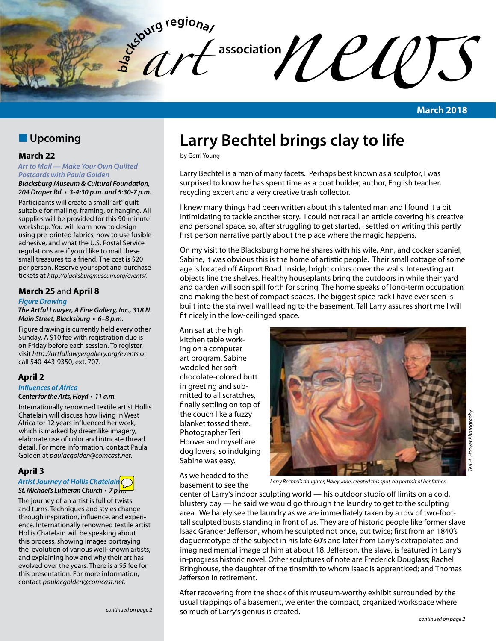

**March 2018**

## **N** Upcoming

## **March 22**

*Art to Mail — Make Your Own Quilted Postcards with Paula Golden*

*Blacksburg Museum & Cultural Foundation,*  **204 Draper Rd. • 3-4:30 p.m. and 5:30-7 p.m.**

Participants will create a small "art" quilt suitable for mailing, framing, or hanging. All supplies will be provided for this 90-minute workshop. You will learn how to design using pre-printed fabrics, how to use fusible adhesive, and what the U.S. Postal Service regulations are if you'd like to mail these small treasures to a friend. The cost is \$20 per person. Reserve your spot and purchase tickets at *http://blacksburgmuseum.org/events/*.

## **March 25** and **April 8**

### *Figure Drawing*

**The Artful Lawyer, A Fine Gallery, Inc., 318 N. Main Street, Blacksburg • 6–8 p.m.**

Figure drawing is currently held every other Sunday. A \$10 fee with registration due is on Friday before each session. To register, visit *http://artfullawyergallery.org/events* or call 540-443-9350, ext. 707.

## **April 2**

### *Influences of Africa* **Center for the Arts, Floyd • 11 a.m.**

Internationally renowned textile artist Hollis Chatelain will discuss how living in West Africa for 12 years influenced her work, which is marked by dreamlike imagery, elaborate use of color and intricate thread detail. For more information, contact Paula Golden at *paulacgolden@comcast.net*.

## **April 3**

## *Artist Journey of Hollis Chatelain* **St. Michael's Lutheran Church • 7 p.m.**

The journey of an artist is full of twists and turns. Techniques and styles change through inspiration, influence, and experience. Internationally renowned textile artist Hollis Chatelain will be speaking about this process, showing images portraying the evolution of various well-known artists, and explaining how and why their art has evolved over the years. There is a \$5 fee for this presentation. For more information, contact *paulacgolden@comcast.net*.

# **Larry Bechtel brings clay to life**

by Gerri Young

Larry Bechtel is a man of many facets. Perhaps best known as a sculptor, I was surprised to know he has spent time as a boat builder, author, English teacher, recycling expert and a very creative trash collector.

I knew many things had been written about this talented man and I found it a bit intimidating to tackle another story. I could not recall an article covering his creative and personal space, so, after struggling to get started, I settled on writing this partly first person narrative partly about the place where the magic happens.

On my visit to the Blacksburg home he shares with his wife, Ann, and cocker spaniel, Sabine, it was obvious this is the home of artistic people. Their small cottage of some age is located off Airport Road. Inside, bright colors cover the walls. Interesting art objects line the shelves. Healthy houseplants bring the outdoors in while their yard and garden will soon spill forth for spring. The home speaks of long-term occupation and making the best of compact spaces. The biggest spice rack I have ever seen is built into the stairwell wall leading to the basement. Tall Larry assures short me I will fit nicely in the low-ceilinged space.

Ann sat at the high kitchen table working on a computer art program. Sabine waddled her soft chocolate-colored butt in greeting and submitted to all scratches, finally settling on top of the couch like a fuzzy blanket tossed there. Photographer Teri Hoover and myself are dog lovers, so indulging Sabine was easy.

As we headed to the basement to see the



*Larry Bechtel's daughter, Haley Jane, created this spot-on portrait of her father.*

center of Larry's indoor sculpting world — his outdoor studio off limits on a cold, blustery day — he said we would go through the laundry to get to the sculpting area. We barely see the laundry as we are immediately taken by a row of two-foottall sculpted busts standing in front of us. They are of historic people like former slave Isaac Granger Jefferson, whom he sculpted not once, but twice; first from an 1840's daguerreotype of the subject in his late 60's and later from Larry's extrapolated and imagined mental image of him at about 18. Jefferson, the slave, is featured in Larry's in-progress historic novel. Other sculptures of note are Frederick Douglass; Rachel Bringhouse, the daughter of the tinsmith to whom Isaac is apprenticed; and Thomas Jefferson in retirement.

After recovering from the shock of this museum-worthy exhibit surrounded by the usual trappings of a basement, we enter the compact, organized workspace where so much of Larry's genius is created.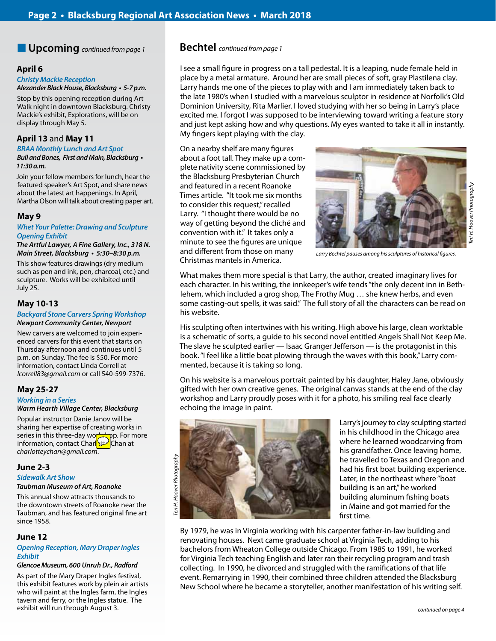n **Upcoming** *continued from page 1* **Bechtel** *continued from page 1*

## **April 6**

*Christy Mackie Reception*

**Alexander Black House, Blacksburg • 5-7 p.m.**

Stop by this opening reception during Art Walk night in downtown Blacksburg. Christy Mackie's exhibit, Explorations, will be on display through May 5.

## **April 13** and **May 11**

## *BRAA Monthly Lunch and Art Spot*

**Bull and Bones, First and Main, Blacksburg • 11:30 a.m.**

Join your fellow members for lunch, hear the featured speaker's Art Spot, and share news about the latest art happenings. In April, Martha Olson will talk about creating paper art.

## **May 9**

## **Whet Your Palette: Drawing and Sculpture** *Opening Exhibit*

**The Artful Lawyer, A Fine Gallery, Inc., 318 N. Main Street, Blacksburg • 5:30–8:30 p.m.**

This show features drawings (dry medium such as pen and ink, pen, charcoal, etc.) and sculpture. Works will be exhibited until July 25.

## **May 10-13**

### *Backyard Stone Carvers Spring Workshop* **Newport Community Center, Newport**

New carvers are welcomed to join experienced carvers for this event that starts on Thursday afternoon and continues until 5 p.m. on Sunday. The fee is \$50. For more information, contact Linda Correll at *lcorrell83@gmail.com* or call 540-599-7376.

## **May 25-27**

*Working in a Series*

## *Warm Hearth Village Center, Blacksburg*

Popular instructor Danie Janov will be sharing her expertise of creating works in series in this three-day workshop. For more information, contact Charlotte Chan at *charlotteychan@gmail.com*.

## **June 2-3**

*Sidewalk Art Show Taubman Museum of Art, Roanoke*

This annual show attracts thousands to the downtown streets of Roanoke near the Taubman, and has featured original fine art since 1958.

## **June 12**

## *Opening Reception, Mary Draper Ingles Exhibit*

### *Glencoe Museum,* **600 Unruh Dr.,** *Radford*

As part of the Mary Draper Ingles festival, this exhibit features work by plein air artists who will paint at the Ingles farm, the Ingles tavern and ferry, or the Ingles statue. The exhibit will run through August 3.

I see a small figure in progress on a tall pedestal. It is a leaping, nude female held in place by a metal armature. Around her are small pieces of soft, gray Plastilena clay. Larry hands me one of the pieces to play with and I am immediately taken back to the late 1980's when I studied with a marvelous sculptor in residence at Norfolk's Old Dominion University, Rita Marlier. I loved studying with her so being in Larry's place excited me. I forgot I was supposed to be interviewing toward writing a feature story and just kept asking how and why questions. My eyes wanted to take it all in instantly. My fingers kept playing with the clay.

On a nearby shelf are many figures about a foot tall. They make up a complete nativity scene commissioned by the Blacksburg Presbyterian Church and featured in a recent Roanoke Times article. "It took me six months to consider this request," recalled Larry. "I thought there would be no way of getting beyond the cliché and convention with it." It takes only a minute to see the figures are unique and different from those on many Christmas mantels in America.



*Larry Bechtel pauses among his sculptures of historical figures.*

What makes them more special is that Larry, the author, created imaginary lives for each character. In his writing, the innkeeper's wife tends "the only decent inn in Bethlehem, which included a grog shop, The Frothy Mug … she knew herbs, and even some casting-out spells, it was said." The full story of all the characters can be read on his website.

His sculpting often intertwines with his writing. High above his large, clean worktable is a schematic of sorts, a guide to his second novel entitled Angels Shall Not Keep Me. The slave he sculpted earlier — Isaac Granger Jefferson — is the protagonist in this book. "I feel like a little boat plowing through the waves with this book," Larry commented, because it is taking so long.

On his website is a marvelous portrait painted by his daughter, Haley Jane, obviously gifted with her own creative genes. The original canvas stands at the end of the clay workshop and Larry proudly poses with it for a photo, his smiling real face clearly echoing the image in paint.



Larry's journey to clay sculpting started in his childhood in the Chicago area where he learned woodcarving from his grandfather. Once leaving home, he travelled to Texas and Oregon and had his first boat building experience. Later, in the northeast where "boat building is an art," he worked building aluminum fishing boats in Maine and got married for the first time.

By 1979, he was in Virginia working with his carpenter father-in-law building and renovating houses. Next came graduate school at Virginia Tech, adding to his bachelors from Wheaton College outside Chicago. From 1985 to 1991, he worked for Virginia Tech teaching English and later ran their recycling program and trash collecting. In 1990, he divorced and struggled with the ramifications of that life event. Remarrying in 1990, their combined three children attended the Blacksburg New School where he became a storyteller, another manifestation of his writing self.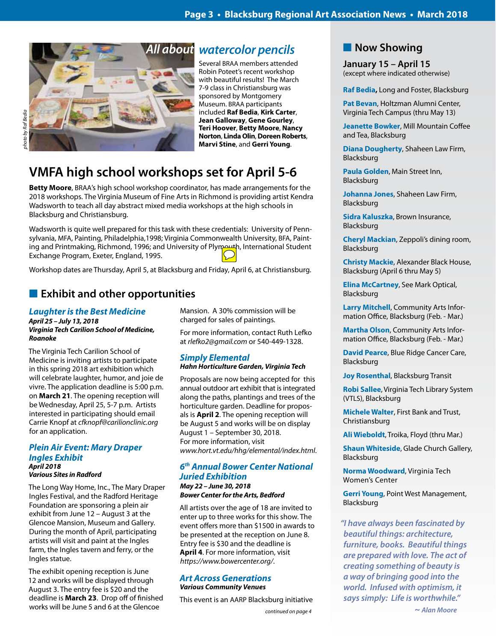

# **VMFA high school workshops set for April 5-6**

**Betty Moore**, BRAA's high school workshop coordinator, has made arrangements for the 2018 workshops. The Virginia Museum of Fine Arts in Richmond is providing artist Kendra Wadsworth to teach all day abstract mixed media workshops at the high schools in Blacksburg and Christiansburg.

Wadsworth is quite well prepared for this task with these credentials: University of Pennsylvania, MFA, Painting, Philadelphia,1998; Virginia Commonwealth University, BFA, Painting and Printmaking, Richmond, 1996; and University of Plymouth, International Student Exchange Program, Exeter, England, 1995.

Workshop dates are Thursday, April 5, at Blacksburg and Friday, April 6, at Christiansburg.

## **Exhibit and other opportunities**

## *Laughter is the Best Medicine April 25 – July 13, 2018 Virginia Tech Carilion School of Medicine, Roanoke*

The Virginia Tech Carilion School of Medicine is inviting artists to participate in this spring 2018 art exhibition which will celebrate laughter, humor, and joie de vivre. The application deadline is 5:00 p.m. on **March 21**. The opening reception will be Wednesday, April 25, 5-7 p.m. Artists interested in participating should email Carrie Knopf at *cfknopf@carilionclinic.org* for an application.

### *Plein Air Event: Mary Draper Ingles Exhibit April 2018 Various Sites in Radford*

The Long Way Home, Inc., The Mary Draper Ingles Festival, and the Radford Heritage Foundation are sponsoring a plein air exhibit from June 12 – August 3 at the Glencoe Mansion, Museum and Gallery. During the month of April, participating artists will visit and paint at the Ingles farm, the Ingles tavern and ferry, or the Ingles statue.

The exhibit opening reception is June 12 and works will be displayed through August 3. The entry fee is \$20 and the deadline is **March 23**. Drop off of finished works will be June 5 and 6 at the Glencoe *continued on page 4*

Mansion. A 30% commission will be charged for sales of paintings.

For more information, contact Ruth Lefko at *rlefko2@gmail.com* or 540-449-1328.

Several BRAA members attended Robin Poteet's recent workshop with beautiful results! The March 7-9 class in Christiansburg was sponsored by Montgomery Museum. BRAA participants included **Raf Bedia**, **Kirk Carter**, **Jean Galloway**, **Gene Gourley**, **Teri Hoover**, **Betty Moore**, **Nancy Norton**, **Linda Olin**, **Doreen Roberts**, **Marvi Stine**, and **Gerri Young**.

## *Simply Elemental Hahn Horticulture Garden, Virginia Tech*

Proposals are now being accepted for this annual outdoor art exhibit that is integrated along the paths, plantings and trees of the horticulture garden. Deadline for proposals is **April 2**. The opening reception will be August 5 and works will be on display August 1 – September 30, 2018. For more information, visit *www.hort.vt.edu/hhg/elemental/index.html*.

## *6th Annual Bower Center National Juried Exhibition May 22 – June 30, 2018*

*Bower Center for the Arts, Bedford*

All artists over the age of 18 are invited to enter up to three works for this show. The event offers more than \$1500 in awards to be presented at the reception on June 8. Entry fee is \$30 and the deadline is **April 4**. For more information, visit *https://www.bowercenter.org/*.

### *Art Across Generations Various Community Venues*

This event is an AARP Blacksburg initiative

## **Now Showing**

**January 15 – April 15** (except where indicated otherwise)

**Raf Bedia,** Long and Foster, Blacksburg

**Pat Bevan**, Holtzman Alumni Center, Virginia Tech Campus (thru May 13)

**Jeanette Bowker**, Mill Mountain Coffee and Tea, Blacksburg

**Diana Dougherty**, Shaheen Law Firm, Blacksburg

**Paula Golden**, Main Street Inn, Blacksburg

**Johanna Jones**, Shaheen Law Firm, Blacksburg

**Sidra Kaluszka**, Brown Insurance, Blacksburg

**Cheryl Mackian**, Zeppoli's dining room, Blacksburg

**Christy Mackie**, Alexander Black House, Blacksburg (April 6 thru May 5)

**Elina McCartney**, See Mark Optical, Blacksburg

**Larry Mitchell**, Community Arts Information Office, Blacksburg (Feb. - Mar.)

**Martha Olson**, Community Arts Information Office, Blacksburg (Feb. - Mar.)

**David Pearce**, Blue Ridge Cancer Care, Blacksburg

**Joy Rosenthal**, Blacksburg Transit

**Robi Sallee**, Virginia Tech Library System (VTLS), Blacksburg

**Michele Walter**, First Bank and Trust, Christiansburg

**Ali Wieboldt**, Troika, Floyd (thru Mar.)

**Shaun Whiteside**, Glade Church Gallery, Blacksburg

**Norma Woodward**, Virginia Tech Women's Center

**Gerri Young**, Point West Management, Blacksburg

*"I have always been fascinated by* **beautiful things: architecture,** *furniture, books. Beautiful things are prepared with love. The act of creating something of beauty is a way of bringing good into the world. Infused with optimism, it* **says simply: Life is worthwhile."**

 *~ Alan Moore*